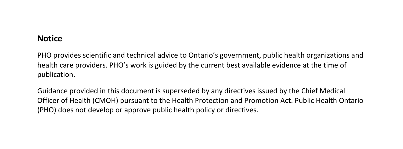#### **Notice**

PHO provides scientific and technical advice to Ontario's government, public health organizations and health care providers. PHO's work is guided by the current best available evidence at the time of publication.

Guidance provided in this document is superseded by any directives issued by the Chief Medical Officer of Health (CMOH) pursuant to the Health Protection and Promotion Act. Public Health Ontario (PHO) does not develop or approve public health policy or directives.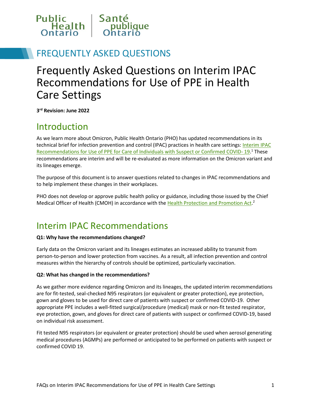

### FREQUENTLY ASKED QUESTIONS

# Frequently Asked Questions on Interim IPAC Recommendations for Use of PPE in Health Care Settings

**3rd Revision: June 2022**

### Introduction

As we learn more about Omicron, Public Health Ontario (PHO) has updated recommendations in its technical brief for infection prevention and control (IPAC) practices in health care settings: Interim IPAC Recommendations for Use of PPE for Care of Individuals with Suspect or Confirmed COVID-19.<sup>1</sup> These recommendations are interim and will be re-evaluated as more information on the Omicron variant and its lineages emerge.

The purpose of this document is to answer questions related to changes in IPAC recommendations and to help implement these changes in their workplaces.

PHO does not develop or approve public health policy or guidance, including those issued by the Chief Medical Officer of Health (CMOH) in accordance with th[e Health Protection and Promotion Act.](http://www.e-laws.gov.on.ca/html/statutes/english/elaws_statutes_90h07_e.htm)<sup>2</sup>

### Interim IPAC Recommendations

#### **Q1: Why have the recommendations changed?**

Early data on the Omicron variant and its lineages estimates an increased ability to transmit from person-to-person and lower protection from vaccines. As a result, all infection prevention and control measures within the hierarchy of controls should be optimized, particularly vaccination.

#### **Q2: What has changed in the recommendations?**

As we gather more evidence regarding Omicron and its lineages, the updated interim recommendations are for fit-tested, seal-checked N95 respirators (or equivalent or greater protection), eye protection, gown and gloves to be used for direct care of patients with suspect or confirmed COVID-19. Other appropriate PPE includes a well-fitted surgical/procedure (medical) mask or non-fit tested respirator, eye protection, gown, and gloves for direct care of patients with suspect or confirmed COVID-19, based on individual risk assessment.

Fit tested N95 respirators (or equivalent or greater protection) should be used when aerosol generating medical procedures (AGMPs) are performed or anticipated to be performed on patients with suspect or confirmed COVID 19.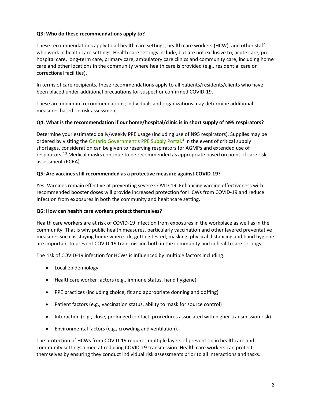#### **Q3: Who do these recommendations apply to?**

These recommendations apply to all health care settings, health care workers (HCW), and other staff who work in health care settings. Health care settings include, but are not exclusive to, acute care, prehospital care, long-term care, primary care, ambulatory care clinics and community care, including home care and other locations in the community where health care is provided (e.g., residential care or correctional facilities).

In terms of care recipients, these recommendations apply to all patients/residents/clients who have been placed under additional precautions for suspect or confirmed COVID-19.

These are minimum recommendations; individuals and organizations may determine additional measures based on risk assessment.

#### **Q4: What is the recommendation if our home/hospital/clinic is in short supply of N95 respirators?**

Determine your estimated daily/weekly PPE usage (including use of N95 respirators). Supplies may be ordered by visiting the **Ontario Government's PPE Supply Portal**.<sup>3</sup> In the event of critical supply shortages, consideration can be given to reserving respirators for AGMPs and extended use of respirators.4,5 Medical masks continue to be recommended as appropriate based on point of care risk assessment (PCRA).

#### **Q5: Are vaccines still recommended as a protective measure against COVID-19?**

Yes. Vaccines remain effective at preventing severe COVID-19. Enhancing vaccine effectiveness with recommended booster doses will provide increased protection for HCWs from COVID-19 and reduce infection from exposures in both the community and healthcare setting.

#### **Q6: How can health care workers protect themselves?**

Health care workers are at risk of COVID-19 infection from exposures in the workplace as well as in the community. That is why public health measures, particularly vaccination and other layered preventative measures such as staying home when sick, getting tested, masking, physical distancing and hand hygiene are important to prevent COVID-19 transmission both in the community and in health care settings.

The risk of COVID-19 infection for HCWs is influenced by multiple factors including:

- Local epidemiology
- Healthcare worker factors (e.g., immune status, hand hygiene)
- PPE practices (including choice, fit and appropriate donning and doffing)
- Patient factors (e.g., vaccination status, ability to mask for source control)
- Interaction (e.g., close, prolonged contact, procedures associated with higher transmission risk)
- Environmental factors (e.g., crowding and ventilation).

The protection of HCWs from COVID-19 requires multiple layers of prevention in healthcare and community settings aimed at reducing COVID-19 transmission. Health care workers can protect themselves by ensuring they conduct individual risk assessments prior to all interactions and tasks.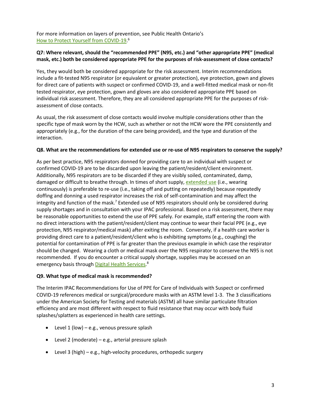For more information on layers of prevention, see Public Health Ontario's [How to Protect Yourself from COVID-19.](https://www.publichealthontario.ca/-/media/documents/ncov/factsheet/2021/06/lp/fact-sheet-covid-19-preventive-layers.pdf?la=en&sc_lang=en&hash=35EAD841BDE13ACF4EC3EB1B9155542B) 6

#### **Q7: Where relevant, should the "recommended PPE" (N95, etc.) and "other appropriate PPE" (medical mask, etc.) both be considered appropriate PPE for the purposes of risk-assessment of close contacts?**

Yes, they would both be considered appropriate for the risk assessment. Interim recommendations include a fit-tested N95 respirator (or equivalent or greater protection), eye protection, gown and gloves for direct care of patients with suspect or confirmed COVID-19, and a well-fitted medical mask or non-fit tested respirator, eye protection, gown and gloves are also considered appropriate PPE based on individual risk assessment. Therefore, they are all considered appropriate PPE for the purposes of riskassessment of close contacts.

As usual, the risk assessment of close contacts would involve multiple considerations other than the specific type of mask worn by the HCW, such as whether or not the HCW wore the PPE consistently and appropriately (e.g., for the duration of the care being provided), and the type and duration of the interaction.

#### **Q8. What are the recommendations for extended use or re-use of N95 respirators to conserve the supply?**

As per best practice, N95 respirators donned for providing care to an individual with suspect or confirmed COVID-19 are to be discarded upon leaving the patient/resident/client environment. Additionally, N95 respirators are to be discarded if they are visibly soiled, contaminated, damp, damaged or difficult to breathe through. In times of short supply, [extended use](https://www.publichealthontario.ca/-/media/documents/ncov/ipac/faq-covid-19-universal-mask-use-health-care.pdf?la=en%23:%7E:text=Universal%20masking%20means%20wearing%20a,prevent%20the%20spread%20of%20infection.) (i.e., wearing continuously) is preferable to re-use (i.e., taking off and putting on repeatedly) because repeatedly doffing and donning a used respirator increases the risk of self-contamination and may affect the integrity and function of the mask.<sup>7</sup> Extended use of N95 respirators should only be considered during supply shortages and in consultation with your IPAC professional. Based on a risk assessment, there may be reasonable opportunities to extend the use of PPE safely. For example, staff entering the room with no direct interactions with the patient/resident/client may continue to wear their facial PPE (e.g., eye protection, N95 respirator/medical mask) after exiting the room. Conversely, if a health care worker is providing direct care to a patient/resident/client who is exhibiting symptoms (e.g., coughing) the potential for contamination of PPE is far greater than the previous example in which case the respirator should be changed. Wearing a cloth or medical mask over the N95 respirator to conserve the N95 is not recommended. If you do encounter a critical supply shortage, supplies may be accessed on an emergency basis through <u>Digital Health Services</u>.<sup>8</sup>

#### **Q9. What type of medical mask is recommended?**

The Interim IPAC Recommendations for Use of PPE for Care of Individuals with Suspect or confirmed COVID-19 references medical or surgical/procedure masks with an ASTM level 1-3. The 3 classifications under the American Society for Testing and materials (ASTM) all have similar particulate filtration efficiency and are most different with respect to fluid resistance that may occur with body fluid splashes/splatters as experienced in health care settings.

- Level  $1$  (low) e.g., venous pressure splash
- Level 2 (moderate) e.g., arterial pressure splash
- Level 3 (high) e.g., high-velocity procedures, orthopedic surgery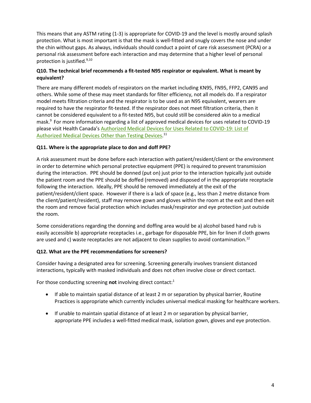This means that any ASTM rating (1-3) is appropriate for COVID-19 and the level is mostly around splash protection. What is most important is that the mask is well-fitted and snugly covers the nose and under the chin without gaps. As always, individuals should conduct a point of care risk assessment (PCRA) or a personal risk assessment before each interaction and may determine that a higher level of personal protection is justified.9,10

#### **Q10. The technical brief recommends a fit-tested N95 respirator or equivalent. What is meant by equivalent?**

There are many different models of respirators on the market including KN95, FN95, FFP2, CAN95 and others. While some of these may meet standards for filter efficiency, not all models do. If a respirator model meets filtration criteria and the respirator is to be used as an N95 equivalent, wearers are required to have the respirator fit-tested. If the respirator does not meet filtration criteria, then it cannot be considered equivalent to a fit-tested N95, but could still be considered akin to a medical mask.9 For more information regarding a list of approved medical devices for uses related to COVID-19 please visit Health Canada's [Authorized Medical Devices for Uses Related to COVID-19: List of](https://www.canada.ca/en/health-canada/services/drugs-health-products/covid19-industry/medical-devices/authorized/other.html)  [Authorized Medical Devices Other than Testing Devices.](https://www.canada.ca/en/health-canada/services/drugs-health-products/covid19-industry/medical-devices/authorized/other.html)<sup>11</sup>

#### **Q11. Where is the appropriate place to don and doff PPE?**

A risk assessment must be done before each interaction with patient/resident/client or the environment in order to determine which personal protective equipment (PPE) is required to prevent transmission during the interaction. PPE should be donned (put on) just prior to the interaction typically just outside the patient room and the PPE should be doffed (removed) and disposed of in the appropriate receptacle following the interaction. Ideally, PPE should be removed immediately at the exit of the patient/resident/client space. However if there is a lack of space (e.g., less than 2 metre distance from the client/patient/resident), staff may remove gown and gloves within the room at the exit and then exit the room and remove facial protection which includes mask/respirator and eye protection just outside the room.

Some considerations regarding the donning and doffing area would be a) alcohol based hand rub is easily accessible b) appropriate receptacles i.e., garbage for disposable PPE, bin for linen if cloth gowns are used and c) waste receptacles are not adjacent to clean supplies to avoid contamination.<sup>12</sup>

#### **Q12. What are the PPE recommendations for screeners?**

Consider having a designated area for screening. Screening generally involves transient distanced interactions, typically with masked individuals and does not often involve close or direct contact.

For those conducting screening **not** involving direct contact:<sup>1</sup>

- If able to maintain spatial distance of at least 2 m or separation by physical barrier, Routine Practices is appropriate which currently includes universal medical masking for healthcare workers.
- If unable to maintain spatial distance of at least 2 m or separation by physical barrier, appropriate PPE includes a well-fitted medical mask, isolation gown, gloves and eye protection.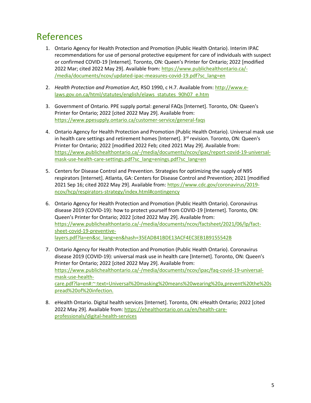### References

- 1. Ontario Agency for Health Protection and Promotion (Public Health Ontario). Interim IPAC recommendations for use of personal protective equipment for care of individuals with suspect or confirmed COVID-19 [Internet]. Toronto, ON: Queen's Printer for Ontario; 2022 [modified 2022 Mar; cited 2022 May 29]. Available from: [https://www.publichealthontario.ca/-](https://www.publichealthontario.ca/-/media/documents/ncov/updated-ipac-measures-covid-19.pdf?sc_lang=en) [/media/documents/ncov/updated-ipac-measures-covid-19.pdf?sc\\_lang=en](https://www.publichealthontario.ca/-/media/documents/ncov/updated-ipac-measures-covid-19.pdf?sc_lang=en)
- 2. *Health Protection and Promotion Act*, RSO 1990, c H.7. Available from: [http://www.e](http://www.e-laws.gov.on.ca/html/statutes/english/elaws_statutes_90h07_e.htm)[laws.gov.on.ca/html/statutes/english/elaws\\_statutes\\_90h07\\_e.htm](http://www.e-laws.gov.on.ca/html/statutes/english/elaws_statutes_90h07_e.htm)
- 3. Government of Ontario. PPE supply portal: general FAQs [Internet]. Toronto, ON: Queen's Printer for Ontario; 2022 [cited 2022 May 29]. Available from: <https://www.ppesupply.ontario.ca/customer-service/general-faqs>
- 4. Ontario Agency for Health Protection and Promotion (Public Health Ontario). Universal mask use in health care settings and retirement homes [Internet].  $3<sup>rd</sup>$  revision. Toronto, ON: Queen's Printer for Ontario; 2022 [modified 2022 Feb; cited 2021 May 29]. Available from: [https://www.publichealthontario.ca/-/media/documents/ncov/ipac/report-covid-19-universal](https://www.publichealthontario.ca/-/media/documents/ncov/ipac/report-covid-19-universal-mask-use-health-care-settings.pdf?sc_lang=enings.pdf?sc_lang=en)[mask-use-health-care-settings.pdf?sc\\_lang=enings.pdf?sc\\_lang=en](https://www.publichealthontario.ca/-/media/documents/ncov/ipac/report-covid-19-universal-mask-use-health-care-settings.pdf?sc_lang=enings.pdf?sc_lang=en)
- 5. Centers for Disease Control and Prevention. Strategies for optimizing the supply of N95 respirators [Internet]. Atlanta, GA: Centers for Disease Control and Prevention; 2021 [modified 2021 Sep 16; cited 2022 May 29]. Available from[: https://www.cdc.gov/coronavirus/2019](https://www.cdc.gov/coronavirus/2019-ncov/hcp/respirators-strategy/index.html#contingency) [ncov/hcp/respirators-strategy/index.html#contingency](https://www.cdc.gov/coronavirus/2019-ncov/hcp/respirators-strategy/index.html#contingency)
- 6. Ontario Agency for Health Protection and Promotion (Public Health Ontario). Coronavirus disease 2019 (COVID-19): how to protect yourself from COVID-19 [Internet]. Toronto, ON: Queen's Printer for Ontario; 2022 [cited 2022 May 29]. Available from: [https://www.publichealthontario.ca/-/media/documents/ncov/factsheet/2021/06/lp/fact](https://www.publichealthontario.ca/-/media/documents/ncov/factsheet/2021/06/lp/fact-sheet-covid-19-preventive-layers.pdf?la=en&sc_lang=en&hash=35EAD841BDE13ACF4EC3EB1B9155542B)[sheet-covid-19-preventive](https://www.publichealthontario.ca/-/media/documents/ncov/factsheet/2021/06/lp/fact-sheet-covid-19-preventive-layers.pdf?la=en&sc_lang=en&hash=35EAD841BDE13ACF4EC3EB1B9155542B)[layers.pdf?la=en&sc\\_lang=en&hash=35EAD841BDE13ACF4EC3EB1B9155542B](https://www.publichealthontario.ca/-/media/documents/ncov/factsheet/2021/06/lp/fact-sheet-covid-19-preventive-layers.pdf?la=en&sc_lang=en&hash=35EAD841BDE13ACF4EC3EB1B9155542B)
- 7. Ontario Agency for Health Protection and Promotion (Public Health Ontario). Coronavirus disease 2019 (COVID-19): universal mask use in health care [Internet]. Toronto, ON: Queen's Printer for Ontario; 2022 [cited 2022 May 29]. Available from: [https://www.publichealthontario.ca/-/media/documents/ncov/ipac/faq-covid-19-universal](https://www.publichealthontario.ca/-/media/documents/ncov/ipac/faq-covid-19-universal-mask-use-health-care.pdf?la=en%23:%7E:text=Universal%20masking%20means%20wearing%20a,prevent%20the%20spread%20of%20infection.)[mask-use-health](https://www.publichealthontario.ca/-/media/documents/ncov/ipac/faq-covid-19-universal-mask-use-health-care.pdf?la=en%23:%7E:text=Universal%20masking%20means%20wearing%20a,prevent%20the%20spread%20of%20infection.)[care.pdf?la=en#:~:text=Universal%20masking%20means%20wearing%20a,prevent%20the%20s](https://www.publichealthontario.ca/-/media/documents/ncov/ipac/faq-covid-19-universal-mask-use-health-care.pdf?la=en%23:%7E:text=Universal%20masking%20means%20wearing%20a,prevent%20the%20spread%20of%20infection.) [pread%20of%20infection.](https://www.publichealthontario.ca/-/media/documents/ncov/ipac/faq-covid-19-universal-mask-use-health-care.pdf?la=en%23:%7E:text=Universal%20masking%20means%20wearing%20a,prevent%20the%20spread%20of%20infection.)
- 8. eHealth Ontario. Digital health services [Internet]. Toronto, ON: eHealth Ontario; 2022 [cited 2022 May 29]. Available from: [https://ehealthontario.on.ca/en/health-care](https://ehealthontario.on.ca/en/health-care-professionals/digital-health-services)[professionals/digital-health-services](https://ehealthontario.on.ca/en/health-care-professionals/digital-health-services)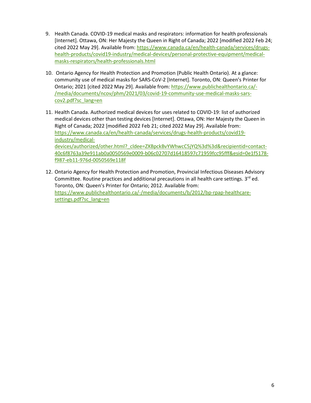- 9. Health Canada. COVID-19 medical masks and respirators: information for health professionals [Internet]. Ottawa, ON: Her Majesty the Queen in Right of Canada; 2022 [modified 2022 Feb 24; cited 2022 May 29]. Available from: [https://www.canada.ca/en/health-canada/services/drugs](https://www.canada.ca/en/health-canada/services/drugs-health-products/covid19-industry/medical-devices/personal-protective-equipment/medical-masks-respirators/health-professionals.html)[health-products/covid19-industry/medical-devices/personal-protective-equipment/medical](https://www.canada.ca/en/health-canada/services/drugs-health-products/covid19-industry/medical-devices/personal-protective-equipment/medical-masks-respirators/health-professionals.html)[masks-respirators/health-professionals.html](https://www.canada.ca/en/health-canada/services/drugs-health-products/covid19-industry/medical-devices/personal-protective-equipment/medical-masks-respirators/health-professionals.html)
- 10. Ontario Agency for Health Protection and Promotion (Public Health Ontario). At a glance: community use of medical masks for SARS-CoV-2 [Internet]. Toronto, ON: Queen's Printer for Ontario; 2021 [cited 2022 May 29]. Available from: [https://www.publichealthontario.ca/-](https://www.publichealthontario.ca/-/media/documents/ncov/phm/2021/03/covid-19-community-use-medical-masks-sars-cov2.pdf?sc_lang=en) [/media/documents/ncov/phm/2021/03/covid-19-community-use-medical-masks-sars](https://www.publichealthontario.ca/-/media/documents/ncov/phm/2021/03/covid-19-community-use-medical-masks-sars-cov2.pdf?sc_lang=en)[cov2.pdf?sc\\_lang=en](https://www.publichealthontario.ca/-/media/documents/ncov/phm/2021/03/covid-19-community-use-medical-masks-sars-cov2.pdf?sc_lang=en)
- 11. Health Canada. Authorized medical devices for uses related to COVID-19: list of authorized medical devices other than testing devices [Internet]. Ottawa, ON: Her Majesty the Queen in Right of Canada; 2022 [modified 2022 Feb 21; cited 2022 May 29]. Available from: [https://www.canada.ca/en/health-canada/services/drugs-health-products/covid19](https://www.canada.ca/en/health-canada/services/drugs-health-products/covid19-industry/medical-devices/authorized/other.html?_cldee=ZXBpckBvYWhwcC5jYQ%3d%3d&recipientid=contact-40c6f8763a39e911ab0a0050569e0009-b06c02707d16418597c71959fcc95fff&esid=0e1f5178-f987-eb11-976d-0050569e118f) [industry/medical](https://www.canada.ca/en/health-canada/services/drugs-health-products/covid19-industry/medical-devices/authorized/other.html?_cldee=ZXBpckBvYWhwcC5jYQ%3d%3d&recipientid=contact-40c6f8763a39e911ab0a0050569e0009-b06c02707d16418597c71959fcc95fff&esid=0e1f5178-f987-eb11-976d-0050569e118f)[devices/authorized/other.html?\\_cldee=ZXBpckBvYWhwcC5jYQ%3d%3d&recipientid=contact-](https://www.canada.ca/en/health-canada/services/drugs-health-products/covid19-industry/medical-devices/authorized/other.html?_cldee=ZXBpckBvYWhwcC5jYQ%3d%3d&recipientid=contact-40c6f8763a39e911ab0a0050569e0009-b06c02707d16418597c71959fcc95fff&esid=0e1f5178-f987-eb11-976d-0050569e118f)[40c6f8763a39e911ab0a0050569e0009-b06c02707d16418597c71959fcc95fff&esid=0e1f5178](https://www.canada.ca/en/health-canada/services/drugs-health-products/covid19-industry/medical-devices/authorized/other.html?_cldee=ZXBpckBvYWhwcC5jYQ%3d%3d&recipientid=contact-40c6f8763a39e911ab0a0050569e0009-b06c02707d16418597c71959fcc95fff&esid=0e1f5178-f987-eb11-976d-0050569e118f) [f987-eb11-976d-0050569e118f](https://www.canada.ca/en/health-canada/services/drugs-health-products/covid19-industry/medical-devices/authorized/other.html?_cldee=ZXBpckBvYWhwcC5jYQ%3d%3d&recipientid=contact-40c6f8763a39e911ab0a0050569e0009-b06c02707d16418597c71959fcc95fff&esid=0e1f5178-f987-eb11-976d-0050569e118f)
- 12. Ontario Agency for Health Protection and Promotion, Provincial Infectious Diseases Advisory Committee. Routine practices and additional precautions in all health care settings.  $3^{rd}$  ed. Toronto, ON: Queen's Printer for Ontario; 2012. Available from: [https://www.publichealthontario.ca/-/media/documents/b/2012/bp-rpap-healthcare](https://www.publichealthontario.ca/-/media/documents/b/2012/bp-rpap-healthcare-settings.pdf?sc_lang=en)[settings.pdf?sc\\_lang=en](https://www.publichealthontario.ca/-/media/documents/b/2012/bp-rpap-healthcare-settings.pdf?sc_lang=en)